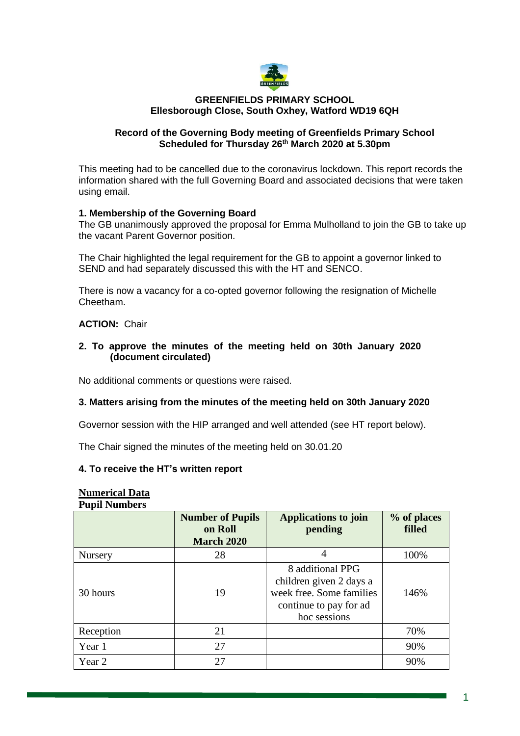

#### **GREENFIELDS PRIMARY SCHOOL Ellesborough Close, South Oxhey, Watford WD19 6QH**

## **Record of the Governing Body meeting of Greenfields Primary School Scheduled for Thursday 26th March 2020 at 5.30pm**

This meeting had to be cancelled due to the coronavirus lockdown. This report records the information shared with the full Governing Board and associated decisions that were taken using email.

### **1. Membership of the Governing Board**

The GB unanimously approved the proposal for Emma Mulholland to join the GB to take up the vacant Parent Governor position.

The Chair highlighted the legal requirement for the GB to appoint a governor linked to SEND and had separately discussed this with the HT and SENCO.

There is now a vacancy for a co-opted governor following the resignation of Michelle Cheetham.

#### **ACTION:** Chair

#### **2. To approve the minutes of the meeting held on 30th January 2020 (document circulated)**

No additional comments or questions were raised.

### **3. Matters arising from the minutes of the meeting held on 30th January 2020**

Governor session with the HIP arranged and well attended (see HT report below).

The Chair signed the minutes of the meeting held on 30.01.20

#### **4. To receive the HT's written report**

| Numci icai <i>D</i> ata<br><b>Pupil Numbers</b> |                                                         |                                                                                                                   |                       |
|-------------------------------------------------|---------------------------------------------------------|-------------------------------------------------------------------------------------------------------------------|-----------------------|
|                                                 | <b>Number of Pupils</b><br>on Roll<br><b>March 2020</b> | Applications to join<br>pending                                                                                   | % of places<br>filled |
| Nursery                                         | 28                                                      | 4                                                                                                                 | 100%                  |
| 30 hours                                        | 19                                                      | 8 additional PPG<br>children given 2 days a<br>week free. Some families<br>continue to pay for ad<br>hoc sessions | 146%                  |
| Reception                                       | 21                                                      |                                                                                                                   | 70%                   |
| Year 1                                          | 27                                                      |                                                                                                                   | 90%                   |
| Year 2                                          | 27                                                      |                                                                                                                   | 90%                   |

# **Numerical Data**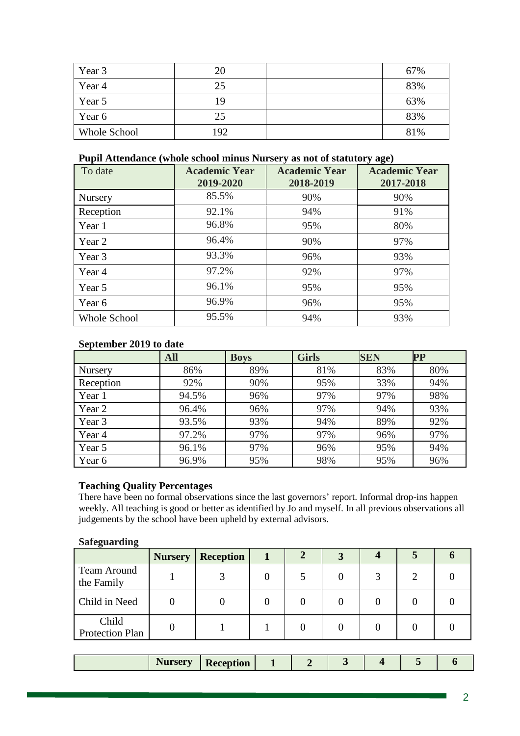| Year 3              | 20  | 67% |
|---------------------|-----|-----|
| Year 4              | 25  | 83% |
| Year 5              | 19  | 63% |
| Year 6              | 25  | 83% |
| <b>Whole School</b> | 192 | 81% |

# **Pupil Attendance (whole school minus Nursery as not of statutory age)**

| To date             | <b>Academic Year</b><br>2019-2020 | <b>Academic Year</b><br>2018-2019 | <b>Academic Year</b><br>2017-2018 |
|---------------------|-----------------------------------|-----------------------------------|-----------------------------------|
| Nursery             | 85.5%                             | 90%                               | 90%                               |
| Reception           | 92.1%                             | 94%                               | 91%                               |
| Year 1              | 96.8%                             | 95%                               | 80%                               |
| Year 2              | 96.4%                             | 90%                               | 97%                               |
| Year 3              | 93.3%                             | 96%                               | 93%                               |
| Year 4              | 97.2%                             | 92%                               | 97%                               |
| Year 5              | 96.1%                             | 95%                               | 95%                               |
| Year 6              | 96.9%                             | 96%                               | 95%                               |
| <b>Whole School</b> | 95.5%                             | 94%                               | 93%                               |

# **September 2019 to date**

|           | <b>All</b> | <b>Boys</b> | <b>Girls</b> | <b>SEN</b> | $\bf PP$ |
|-----------|------------|-------------|--------------|------------|----------|
| Nursery   | 86%        | 89%         | 81%          | 83%        | 80%      |
| Reception | 92%        | 90%         | 95%          | 33%        | 94%      |
| Year 1    | 94.5%      | 96%         | 97%          | 97%        | 98%      |
| Year 2    | 96.4%      | 96%         | 97%          | 94%        | 93%      |
| Year 3    | 93.5%      | 93%         | 94%          | 89%        | 92%      |
| Year 4    | 97.2%      | 97%         | 97%          | 96%        | 97%      |
| Year 5    | 96.1%      | 97%         | 96%          | 95%        | 94%      |
| Year 6    | 96.9%      | 95%         | 98%          | 95%        | 96%      |

# **Teaching Quality Percentages**

There have been no formal observations since the last governors' report. Informal drop-ins happen weekly. All teaching is good or better as identified by Jo and myself. In all previous observations all judgements by the school have been upheld by external advisors.

### **Safeguarding**

| $\circ$<br>$\bullet$             | <b>Nursery</b> | <b>Reception</b> |  |  |  |
|----------------------------------|----------------|------------------|--|--|--|
| <b>Team Around</b><br>the Family |                |                  |  |  |  |
| Child in Need                    |                |                  |  |  |  |
| Child<br>Protection Plan         |                |                  |  |  |  |

| <b>OWT</b><br>$+1$ | tıon<br>. | -<br>. . |  |  |  |
|--------------------|-----------|----------|--|--|--|
|                    |           |          |  |  |  |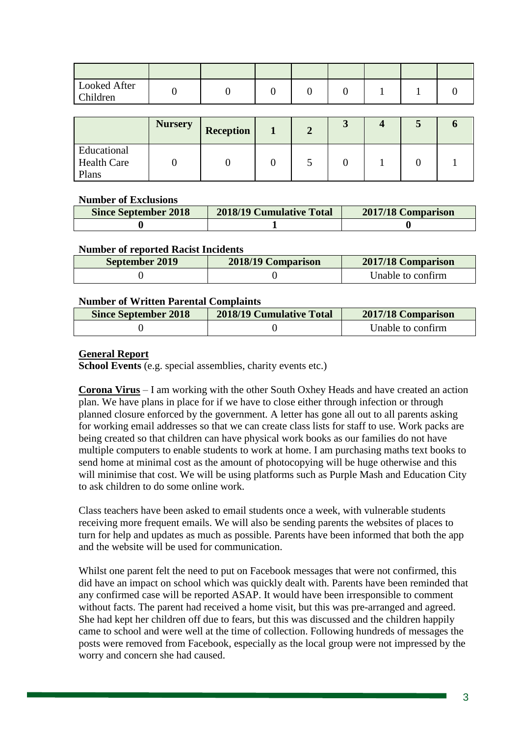| Looked After<br>Children |  |  |  |  |
|--------------------------|--|--|--|--|

|                                            | <b>Nursery</b> | <b>Reception</b> |  | ◡ |  |  |
|--------------------------------------------|----------------|------------------|--|---|--|--|
| Educational<br><b>Health Care</b><br>Plans |                |                  |  |   |  |  |

### **Number of Exclusions**

| <b>Since September 2018</b> | 2018/19 Cumulative Total | 2017/18 Comparison |
|-----------------------------|--------------------------|--------------------|
|                             |                          |                    |

### **Number of reported Racist Incidents**

| September 2019 | 2018/19 Comparison | 2017/18 Comparison |
|----------------|--------------------|--------------------|
|                |                    | Unable to confirm  |

### **Number of Written Parental Complaints**

| <b>Since September 2018</b> | <b>2018/19 Cumulative Total</b> | 2017/18 Comparison |
|-----------------------------|---------------------------------|--------------------|
|                             |                                 | Unable to confirm  |

# **General Report**

**School Events** (e.g. special assemblies, charity events etc.)

**Corona Virus** – I am working with the other South Oxhey Heads and have created an action plan. We have plans in place for if we have to close either through infection or through planned closure enforced by the government. A letter has gone all out to all parents asking for working email addresses so that we can create class lists for staff to use. Work packs are being created so that children can have physical work books as our families do not have multiple computers to enable students to work at home. I am purchasing maths text books to send home at minimal cost as the amount of photocopying will be huge otherwise and this will minimise that cost. We will be using platforms such as Purple Mash and Education City to ask children to do some online work.

Class teachers have been asked to email students once a week, with vulnerable students receiving more frequent emails. We will also be sending parents the websites of places to turn for help and updates as much as possible. Parents have been informed that both the app and the website will be used for communication.

Whilst one parent felt the need to put on Facebook messages that were not confirmed, this did have an impact on school which was quickly dealt with. Parents have been reminded that any confirmed case will be reported ASAP. It would have been irresponsible to comment without facts. The parent had received a home visit, but this was pre-arranged and agreed. She had kept her children off due to fears, but this was discussed and the children happily came to school and were well at the time of collection. Following hundreds of messages the posts were removed from Facebook, especially as the local group were not impressed by the worry and concern she had caused.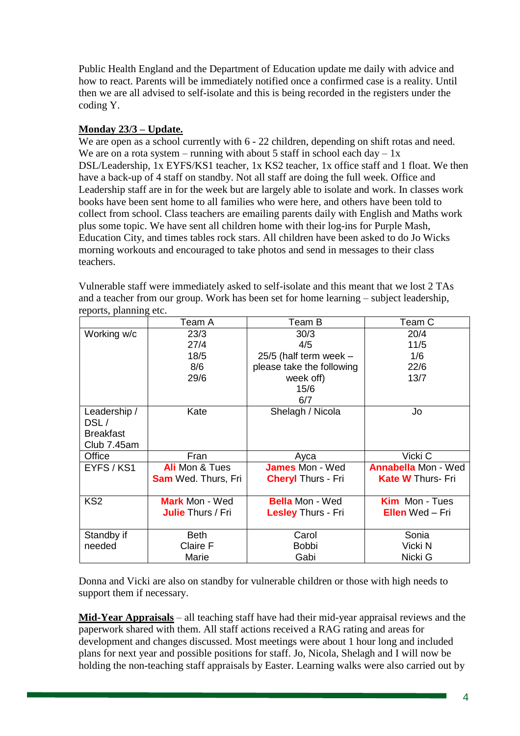Public Health England and the Department of Education update me daily with advice and how to react. Parents will be immediately notified once a confirmed case is a reality. Until then we are all advised to self-isolate and this is being recorded in the registers under the coding Y.

# **Monday 23/3 – Update.**

We are open as a school currently with 6 - 22 children, depending on shift rotas and need. We are on a rota system – running with about 5 staff in school each day –  $1x$ DSL/Leadership, 1x EYFS/KS1 teacher, 1x KS2 teacher, 1x office staff and 1 float. We then have a back-up of 4 staff on standby. Not all staff are doing the full week. Office and Leadership staff are in for the week but are largely able to isolate and work. In classes work books have been sent home to all families who were here, and others have been told to collect from school. Class teachers are emailing parents daily with English and Maths work plus some topic. We have sent all children home with their log-ins for Purple Mash, Education City, and times tables rock stars. All children have been asked to do Jo Wicks morning workouts and encouraged to take photos and send in messages to their class teachers.

Vulnerable staff were immediately asked to self-isolate and this meant that we lost 2 TAs and a teacher from our group. Work has been set for home learning – subject leadership, reports, planning etc.

|                  | Team A                     | Team B                    | Team C                     |
|------------------|----------------------------|---------------------------|----------------------------|
| Working w/c      | 23/3                       | 30/3                      | 20/4                       |
|                  | 27/4                       | 4/5                       | 11/5                       |
|                  | 18/5                       | 25/5 (half term week $-$  | 1/6                        |
|                  | 8/6                        | please take the following | 22/6                       |
|                  | 29/6                       | week off)                 | 13/7                       |
|                  |                            | 15/6                      |                            |
|                  |                            | 6/7                       |                            |
| Leadership /     | Kate                       | Shelagh / Nicola          | Jo                         |
| DSL/             |                            |                           |                            |
| <b>Breakfast</b> |                            |                           |                            |
| Club 7.45am      |                            |                           |                            |
| Office           | Fran                       | Ayca                      | Vicki C                    |
| EYFS / KS1       | Ali Mon & Tues             | <b>James Mon - Wed</b>    | <b>Annabella Mon - Wed</b> |
|                  | <b>Sam</b> Wed. Thurs, Fri | <b>Cheryl Thurs - Fri</b> | <b>Kate W Thurs- Fri</b>   |
|                  |                            |                           |                            |
| KS <sub>2</sub>  | <b>Mark</b> Mon - Wed      | <b>Bella</b> Mon - Wed    | <b>Kim</b> Mon - Tues      |
|                  | <b>Julie Thurs / Fri</b>   | Lesley Thurs - Fri        | <b>Ellen</b> Wed – Fri     |
|                  |                            |                           |                            |
| Standby if       | <b>Beth</b>                | Carol                     | Sonia                      |
| needed           | Claire F                   | <b>Bobbi</b>              | Vicki N                    |
|                  | Marie                      | Gabi                      | Nicki G                    |

Donna and Vicki are also on standby for vulnerable children or those with high needs to support them if necessary.

**Mid-Year Appraisals** – all teaching staff have had their mid-year appraisal reviews and the paperwork shared with them. All staff actions received a RAG rating and areas for development and changes discussed. Most meetings were about 1 hour long and included plans for next year and possible positions for staff. Jo, Nicola, Shelagh and I will now be holding the non-teaching staff appraisals by Easter. Learning walks were also carried out by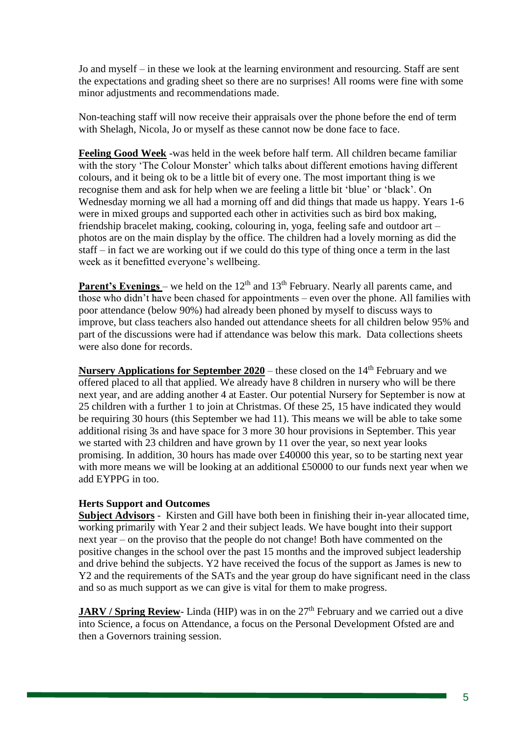Jo and myself – in these we look at the learning environment and resourcing. Staff are sent the expectations and grading sheet so there are no surprises! All rooms were fine with some minor adjustments and recommendations made.

Non-teaching staff will now receive their appraisals over the phone before the end of term with Shelagh, Nicola, Jo or myself as these cannot now be done face to face.

**Feeling Good Week** -was held in the week before half term. All children became familiar with the story 'The Colour Monster' which talks about different emotions having different colours, and it being ok to be a little bit of every one. The most important thing is we recognise them and ask for help when we are feeling a little bit 'blue' or 'black'. On Wednesday morning we all had a morning off and did things that made us happy. Years 1-6 were in mixed groups and supported each other in activities such as bird box making, friendship bracelet making, cooking, colouring in, yoga, feeling safe and outdoor art – photos are on the main display by the office. The children had a lovely morning as did the staff – in fact we are working out if we could do this type of thing once a term in the last week as it benefitted everyone's wellbeing.

**Parent's Evenings** – we held on the  $12<sup>th</sup>$  and  $13<sup>th</sup>$  February. Nearly all parents came, and those who didn't have been chased for appointments – even over the phone. All families with poor attendance (below 90%) had already been phoned by myself to discuss ways to improve, but class teachers also handed out attendance sheets for all children below 95% and part of the discussions were had if attendance was below this mark. Data collections sheets were also done for records.

**Nursery Applications for September 2020** – these closed on the 14<sup>th</sup> February and we offered placed to all that applied. We already have 8 children in nursery who will be there next year, and are adding another 4 at Easter. Our potential Nursery for September is now at 25 children with a further 1 to join at Christmas. Of these 25, 15 have indicated they would be requiring 30 hours (this September we had 11). This means we will be able to take some additional rising 3s and have space for 3 more 30 hour provisions in September. This year we started with 23 children and have grown by 11 over the year, so next year looks promising. In addition, 30 hours has made over £40000 this year, so to be starting next year with more means we will be looking at an additional £50000 to our funds next year when we add EYPPG in too.

# **Herts Support and Outcomes**

**Subject Advisors** - Kirsten and Gill have both been in finishing their in-year allocated time, working primarily with Year 2 and their subject leads. We have bought into their support next year – on the proviso that the people do not change! Both have commented on the positive changes in the school over the past 15 months and the improved subject leadership and drive behind the subjects. Y2 have received the focus of the support as James is new to Y2 and the requirements of the SATs and the year group do have significant need in the class and so as much support as we can give is vital for them to make progress.

**JARV / Spring Review-** Linda (HIP) was in on the 27<sup>th</sup> February and we carried out a dive into Science, a focus on Attendance, a focus on the Personal Development Ofsted are and then a Governors training session.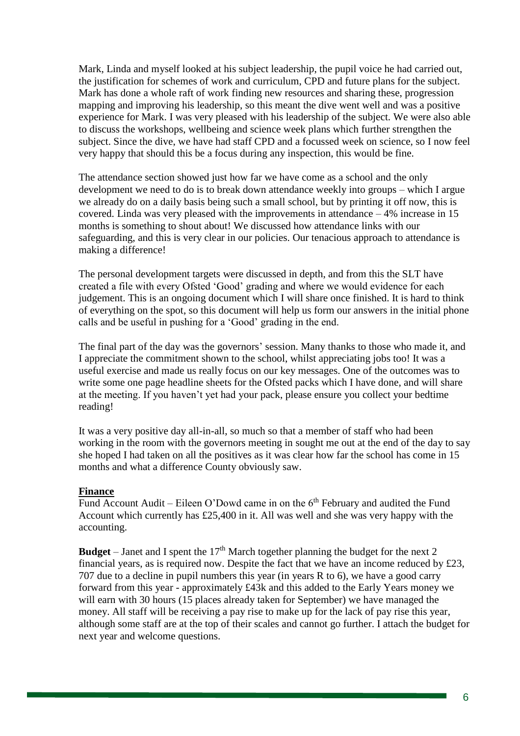Mark, Linda and myself looked at his subject leadership, the pupil voice he had carried out, the justification for schemes of work and curriculum, CPD and future plans for the subject. Mark has done a whole raft of work finding new resources and sharing these, progression mapping and improving his leadership, so this meant the dive went well and was a positive experience for Mark. I was very pleased with his leadership of the subject. We were also able to discuss the workshops, wellbeing and science week plans which further strengthen the subject. Since the dive, we have had staff CPD and a focussed week on science, so I now feel very happy that should this be a focus during any inspection, this would be fine.

The attendance section showed just how far we have come as a school and the only development we need to do is to break down attendance weekly into groups – which I argue we already do on a daily basis being such a small school, but by printing it off now, this is covered. Linda was very pleased with the improvements in attendance – 4% increase in 15 months is something to shout about! We discussed how attendance links with our safeguarding, and this is very clear in our policies. Our tenacious approach to attendance is making a difference!

The personal development targets were discussed in depth, and from this the SLT have created a file with every Ofsted 'Good' grading and where we would evidence for each judgement. This is an ongoing document which I will share once finished. It is hard to think of everything on the spot, so this document will help us form our answers in the initial phone calls and be useful in pushing for a 'Good' grading in the end.

The final part of the day was the governors' session. Many thanks to those who made it, and I appreciate the commitment shown to the school, whilst appreciating jobs too! It was a useful exercise and made us really focus on our key messages. One of the outcomes was to write some one page headline sheets for the Ofsted packs which I have done, and will share at the meeting. If you haven't yet had your pack, please ensure you collect your bedtime reading!

It was a very positive day all-in-all, so much so that a member of staff who had been working in the room with the governors meeting in sought me out at the end of the day to say she hoped I had taken on all the positives as it was clear how far the school has come in 15 months and what a difference County obviously saw.

### **Finance**

Fund Account Audit – Eileen O'Dowd came in on the  $6<sup>th</sup>$  February and audited the Fund Account which currently has £25,400 in it. All was well and she was very happy with the accounting.

**Budget** – Janet and I spent the 17<sup>th</sup> March together planning the budget for the next 2 financial years, as is required now. Despite the fact that we have an income reduced by £23, 707 due to a decline in pupil numbers this year (in years R to 6), we have a good carry forward from this year - approximately £43k and this added to the Early Years money we will earn with 30 hours (15 places already taken for September) we have managed the money. All staff will be receiving a pay rise to make up for the lack of pay rise this year, although some staff are at the top of their scales and cannot go further. I attach the budget for next year and welcome questions.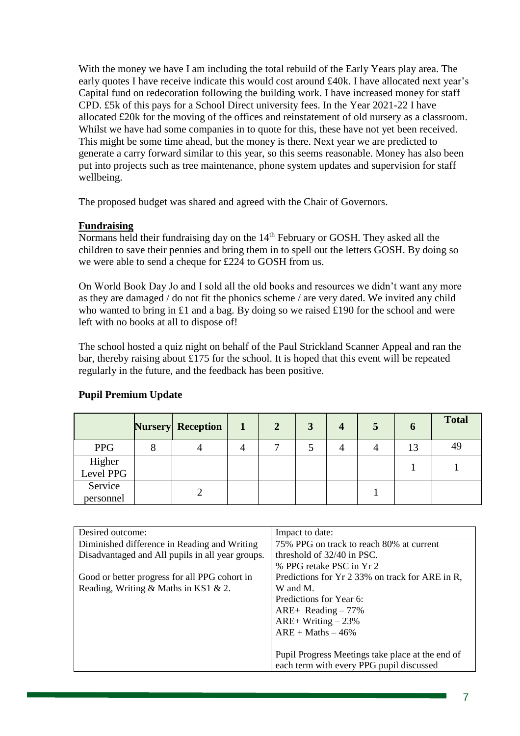With the money we have I am including the total rebuild of the Early Years play area. The early quotes I have receive indicate this would cost around £40k. I have allocated next year's Capital fund on redecoration following the building work. I have increased money for staff CPD. £5k of this pays for a School Direct university fees. In the Year 2021-22 I have allocated £20k for the moving of the offices and reinstatement of old nursery as a classroom. Whilst we have had some companies in to quote for this, these have not yet been received. This might be some time ahead, but the money is there. Next year we are predicted to generate a carry forward similar to this year, so this seems reasonable. Money has also been put into projects such as tree maintenance, phone system updates and supervision for staff wellbeing.

The proposed budget was shared and agreed with the Chair of Governors.

## **Fundraising**

Normans held their fundraising day on the 14<sup>th</sup> February or GOSH. They asked all the children to save their pennies and bring them in to spell out the letters GOSH. By doing so we were able to send a cheque for £224 to GOSH from us.

On World Book Day Jo and I sold all the old books and resources we didn't want any more as they are damaged / do not fit the phonics scheme / are very dated. We invited any child who wanted to bring in £1 and a bag. By doing so we raised £190 for the school and were left with no books at all to dispose of!

The school hosted a quiz night on behalf of the Paul Strickland Scanner Appeal and ran the bar, thereby raising about £175 for the school. It is hoped that this event will be repeated regularly in the future, and the feedback has been positive.

|                      | <b>Nursery</b> Reception | 2 | 3 |  | $\bf{0}$ | <b>Total</b> |
|----------------------|--------------------------|---|---|--|----------|--------------|
| <b>PPG</b>           |                          |   |   |  | 13       | 49           |
| Higher<br>Level PPG  |                          |   |   |  |          |              |
| Service<br>personnel |                          |   |   |  |          |              |

# **Pupil Premium Update**

| Desired outcome:                                 | Impact to date:                                  |
|--------------------------------------------------|--------------------------------------------------|
| Diminished difference in Reading and Writing     | 75% PPG on track to reach 80% at current         |
| Disadvantaged and All pupils in all year groups. | threshold of 32/40 in PSC.                       |
|                                                  | % PPG retake PSC in Yr 2                         |
| Good or better progress for all PPG cohort in    | Predictions for Yr 2 33% on track for ARE in R,  |
| Reading, Writing & Maths in KS1 & 2.             | W and M.                                         |
|                                                  | Predictions for Year 6:                          |
|                                                  | $ARE+ Reading - 77\%$                            |
|                                                  | ARE+ Writing $-23%$                              |
|                                                  | $ARE + Maths - 46%$                              |
|                                                  |                                                  |
|                                                  | Pupil Progress Meetings take place at the end of |
|                                                  | each term with every PPG pupil discussed         |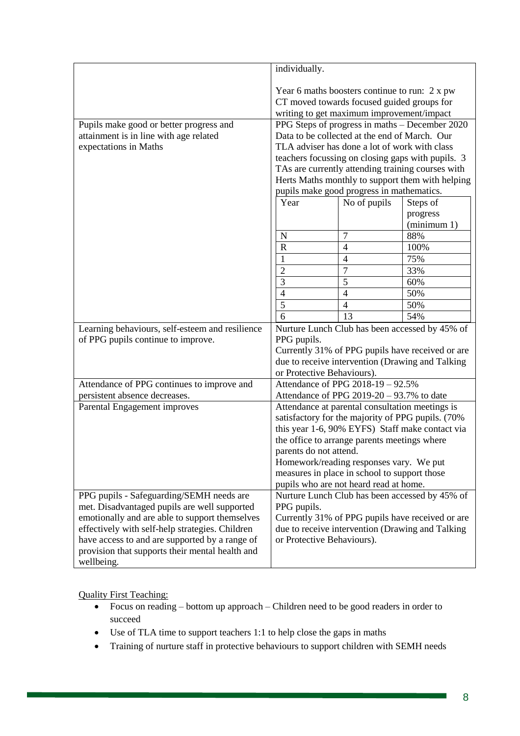|                                                 | individually.                                                                                                                     |                                   |                                                |  |
|-------------------------------------------------|-----------------------------------------------------------------------------------------------------------------------------------|-----------------------------------|------------------------------------------------|--|
|                                                 | Year 6 maths boosters continue to run: $2 \times pw$                                                                              |                                   |                                                |  |
|                                                 | CT moved towards focused guided groups for                                                                                        |                                   |                                                |  |
|                                                 | writing to get maximum improvement/impact                                                                                         |                                   |                                                |  |
| Pupils make good or better progress and         |                                                                                                                                   |                                   | PPG Steps of progress in maths - December 2020 |  |
| attainment is in line with age related          | Data to be collected at the end of March. Our                                                                                     |                                   |                                                |  |
| expectations in Maths                           | TLA adviser has done a lot of work with class                                                                                     |                                   |                                                |  |
|                                                 | teachers focussing on closing gaps with pupils. 3                                                                                 |                                   |                                                |  |
|                                                 | TAs are currently attending training courses with                                                                                 |                                   |                                                |  |
|                                                 | Herts Maths monthly to support them with helping                                                                                  |                                   |                                                |  |
|                                                 | pupils make good progress in mathematics.                                                                                         |                                   |                                                |  |
|                                                 | Year                                                                                                                              | No of pupils                      | Steps of                                       |  |
|                                                 |                                                                                                                                   |                                   | progress                                       |  |
|                                                 |                                                                                                                                   |                                   | (minimum 1)                                    |  |
|                                                 | N                                                                                                                                 | 7                                 | 88%                                            |  |
|                                                 | $\mathbf R$                                                                                                                       | $\overline{4}$                    | 100%                                           |  |
|                                                 | 1                                                                                                                                 | $\overline{4}$                    | 75%                                            |  |
|                                                 | $\overline{2}$                                                                                                                    | $\overline{7}$                    | 33%                                            |  |
|                                                 | 3                                                                                                                                 | 5                                 | 60%                                            |  |
|                                                 | $\overline{4}$                                                                                                                    | $\overline{4}$                    | 50%                                            |  |
|                                                 | 5                                                                                                                                 | $\overline{4}$                    | 50%                                            |  |
|                                                 | $\overline{6}$                                                                                                                    | 13                                | 54%                                            |  |
| Learning behaviours, self-esteem and resilience | Nurture Lunch Club has been accessed by 45% of                                                                                    |                                   |                                                |  |
| of PPG pupils continue to improve.              | PPG pupils.                                                                                                                       |                                   |                                                |  |
|                                                 | Currently 31% of PPG pupils have received or are<br>due to receive intervention (Drawing and Talking                              |                                   |                                                |  |
|                                                 | or Protective Behaviours).                                                                                                        |                                   |                                                |  |
| Attendance of PPG continues to improve and      |                                                                                                                                   | Attendance of PPG 2018-19 - 92.5% |                                                |  |
| persistent absence decreases.                   | Attendance of PPG 2019-20 - 93.7% to date                                                                                         |                                   |                                                |  |
| Parental Engagement improves                    | Attendance at parental consultation meetings is                                                                                   |                                   |                                                |  |
|                                                 | satisfactory for the majority of PPG pupils. (70%                                                                                 |                                   |                                                |  |
|                                                 | this year 1-6, 90% EYFS) Staff make contact via                                                                                   |                                   |                                                |  |
|                                                 | the office to arrange parents meetings where                                                                                      |                                   |                                                |  |
|                                                 | parents do not attend.                                                                                                            |                                   |                                                |  |
|                                                 | Homework/reading responses vary. We put<br>measures in place in school to support those<br>pupils who are not heard read at home. |                                   |                                                |  |
|                                                 |                                                                                                                                   |                                   |                                                |  |
|                                                 |                                                                                                                                   |                                   |                                                |  |
| PPG pupils - Safeguarding/SEMH needs are        | Nurture Lunch Club has been accessed by 45% of                                                                                    |                                   |                                                |  |
| met. Disadvantaged pupils are well supported    | PPG pupils.                                                                                                                       |                                   |                                                |  |
| emotionally and are able to support themselves  | Currently 31% of PPG pupils have received or are                                                                                  |                                   |                                                |  |
| effectively with self-help strategies. Children | due to receive intervention (Drawing and Talking)                                                                                 |                                   |                                                |  |
| have access to and are supported by a range of  | or Protective Behaviours).                                                                                                        |                                   |                                                |  |
| provision that supports their mental health and |                                                                                                                                   |                                   |                                                |  |
| wellbeing.                                      |                                                                                                                                   |                                   |                                                |  |

Quality First Teaching:

- Focus on reading bottom up approach Children need to be good readers in order to succeed
- Use of TLA time to support teachers 1:1 to help close the gaps in maths
- Training of nurture staff in protective behaviours to support children with SEMH needs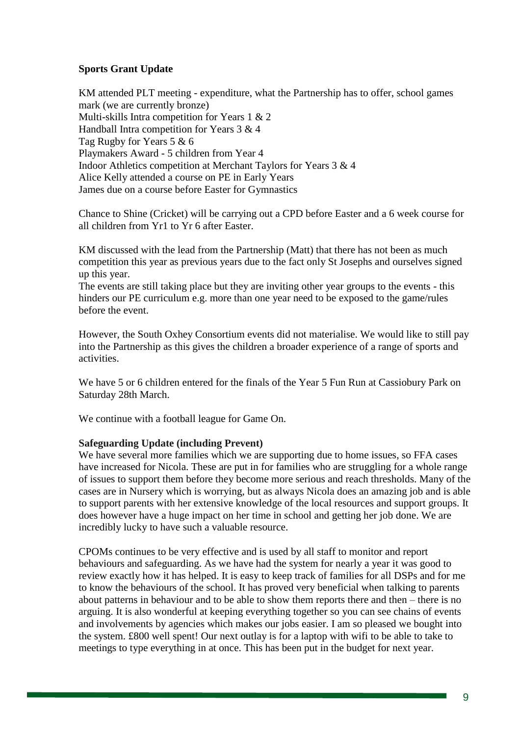# **Sports Grant Update**

KM attended PLT meeting - expenditure, what the Partnership has to offer, school games mark (we are currently bronze) Multi-skills Intra competition for Years 1 & 2 Handball Intra competition for Years 3 & 4 Tag Rugby for Years 5 & 6 Playmakers Award - 5 children from Year 4 Indoor Athletics competition at Merchant Taylors for Years 3 & 4 Alice Kelly attended a course on PE in Early Years James due on a course before Easter for Gymnastics

Chance to Shine (Cricket) will be carrying out a CPD before Easter and a 6 week course for all children from Yr1 to Yr 6 after Easter.

KM discussed with the lead from the Partnership (Matt) that there has not been as much competition this year as previous years due to the fact only St Josephs and ourselves signed up this year.

The events are still taking place but they are inviting other year groups to the events - this hinders our PE curriculum e.g. more than one year need to be exposed to the game/rules before the event.

However, the South Oxhey Consortium events did not materialise. We would like to still pay into the Partnership as this gives the children a broader experience of a range of sports and activities.

We have 5 or 6 children entered for the finals of the Year 5 Fun Run at Cassiobury Park on Saturday 28th March.

We continue with a football league for Game On.

# **Safeguarding Update (including Prevent)**

We have several more families which we are supporting due to home issues, so FFA cases have increased for Nicola. These are put in for families who are struggling for a whole range of issues to support them before they become more serious and reach thresholds. Many of the cases are in Nursery which is worrying, but as always Nicola does an amazing job and is able to support parents with her extensive knowledge of the local resources and support groups. It does however have a huge impact on her time in school and getting her job done. We are incredibly lucky to have such a valuable resource.

CPOMs continues to be very effective and is used by all staff to monitor and report behaviours and safeguarding. As we have had the system for nearly a year it was good to review exactly how it has helped. It is easy to keep track of families for all DSPs and for me to know the behaviours of the school. It has proved very beneficial when talking to parents about patterns in behaviour and to be able to show them reports there and then – there is no arguing. It is also wonderful at keeping everything together so you can see chains of events and involvements by agencies which makes our jobs easier. I am so pleased we bought into the system. £800 well spent! Our next outlay is for a laptop with wifi to be able to take to meetings to type everything in at once. This has been put in the budget for next year.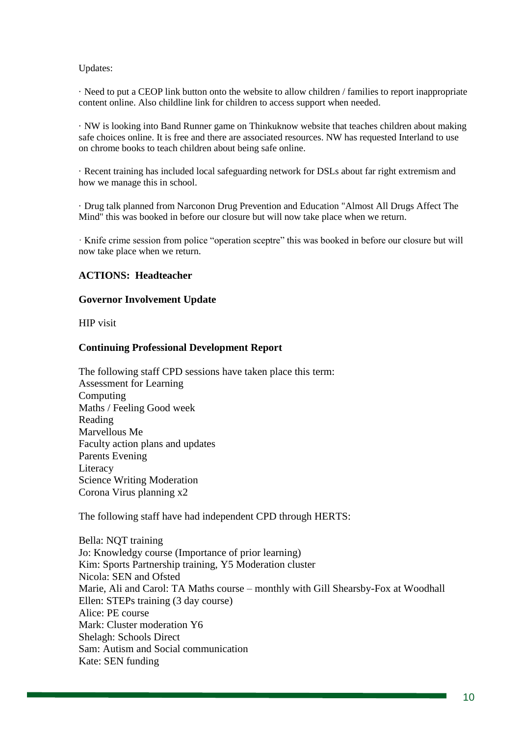#### Updates:

· Need to put a CEOP link button onto the website to allow children / families to report inappropriate content online. Also childline link for children to access support when needed.

· NW is looking into Band Runner game on Thinkuknow website that teaches children about making safe choices online. It is free and there are associated resources. NW has requested Interland to use on chrome books to teach children about being safe online.

· Recent training has included local safeguarding network for DSLs about far right extremism and how we manage this in school.

· Drug talk planned from Narconon Drug Prevention and Education "Almost All Drugs Affect The Mind" this was booked in before our closure but will now take place when we return.

· Knife crime session from police "operation sceptre" this was booked in before our closure but will now take place when we return.

### **ACTIONS: Headteacher**

#### **Governor Involvement Update**

HIP visit

#### **Continuing Professional Development Report**

The following staff CPD sessions have taken place this term: Assessment for Learning Computing Maths / Feeling Good week Reading Marvellous Me Faculty action plans and updates Parents Evening Literacy Science Writing Moderation Corona Virus planning x2

The following staff have had independent CPD through HERTS:

Bella: NQT training Jo: Knowledgy course (Importance of prior learning) Kim: Sports Partnership training, Y5 Moderation cluster Nicola: SEN and Ofsted Marie, Ali and Carol: TA Maths course – monthly with Gill Shearsby-Fox at Woodhall Ellen: STEPs training (3 day course) Alice: PE course Mark: Cluster moderation Y6 Shelagh: Schools Direct Sam: Autism and Social communication Kate: SEN funding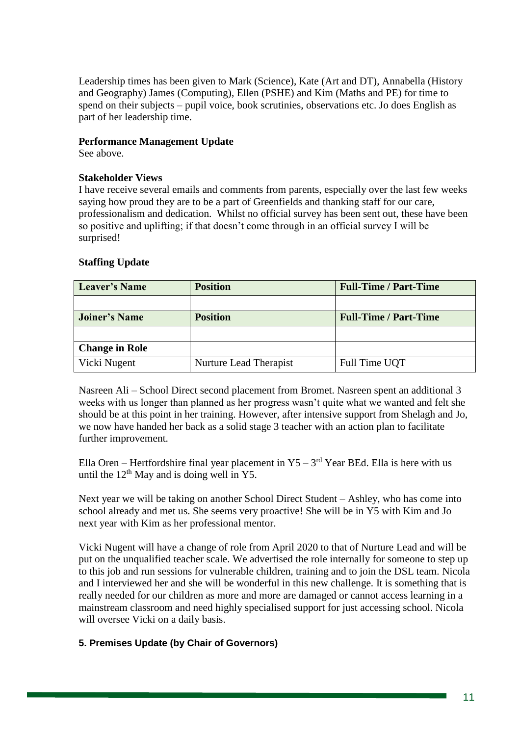Leadership times has been given to Mark (Science), Kate (Art and DT), Annabella (History and Geography) James (Computing), Ellen (PSHE) and Kim (Maths and PE) for time to spend on their subjects – pupil voice, book scrutinies, observations etc. Jo does English as part of her leadership time.

## **Performance Management Update**

See above.

## **Stakeholder Views**

I have receive several emails and comments from parents, especially over the last few weeks saying how proud they are to be a part of Greenfields and thanking staff for our care, professionalism and dedication. Whilst no official survey has been sent out, these have been so positive and uplifting; if that doesn't come through in an official survey I will be surprised!

## **Staffing Update**

| <b>Leaver's Name</b>  | <b>Position</b>        | <b>Full-Time / Part-Time</b> |
|-----------------------|------------------------|------------------------------|
|                       |                        |                              |
| <b>Joiner's Name</b>  | <b>Position</b>        | <b>Full-Time / Part-Time</b> |
|                       |                        |                              |
| <b>Change in Role</b> |                        |                              |
| Vicki Nugent          | Nurture Lead Therapist | Full Time UQT                |

Nasreen Ali – School Direct second placement from Bromet. Nasreen spent an additional 3 weeks with us longer than planned as her progress wasn't quite what we wanted and felt she should be at this point in her training. However, after intensive support from Shelagh and Jo, we now have handed her back as a solid stage 3 teacher with an action plan to facilitate further improvement.

Ella Oren – Hertfordshire final year placement in  $Y5 - 3<sup>rd</sup>$  Year BEd. Ella is here with us until the  $12<sup>th</sup>$  May and is doing well in Y5.

Next year we will be taking on another School Direct Student – Ashley, who has come into school already and met us. She seems very proactive! She will be in Y5 with Kim and Jo next year with Kim as her professional mentor.

Vicki Nugent will have a change of role from April 2020 to that of Nurture Lead and will be put on the unqualified teacher scale. We advertised the role internally for someone to step up to this job and run sessions for vulnerable children, training and to join the DSL team. Nicola and I interviewed her and she will be wonderful in this new challenge. It is something that is really needed for our children as more and more are damaged or cannot access learning in a mainstream classroom and need highly specialised support for just accessing school. Nicola will oversee Vicki on a daily basis.

# **5. Premises Update (by Chair of Governors)**